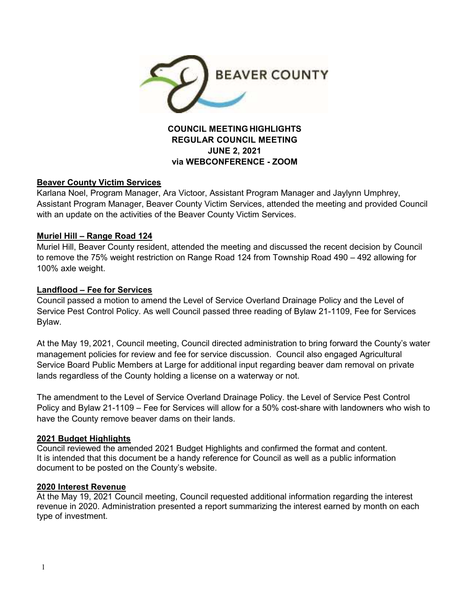

## **COUNCIL MEETING HIGHLIGHTS REGULAR COUNCIL MEETING JUNE 2, 2021 via WEBCONFERENCE - ZOOM**

### **Beaver County Victim Services**

Karlana Noel, Program Manager, Ara Victoor, Assistant Program Manager and Jaylynn Umphrey, Assistant Program Manager, Beaver County Victim Services, attended the meeting and provided Council with an update on the activities of the Beaver County Victim Services.

#### **Muriel Hill – Range Road 124**

Muriel Hill, Beaver County resident, attended the meeting and discussed the recent decision by Council to remove the 75% weight restriction on Range Road 124 from Township Road 490 – 492 allowing for 100% axle weight.

### **Landflood – Fee for Services**

Council passed a motion to amend the Level of Service Overland Drainage Policy and the Level of Service Pest Control Policy. As well Council passed three reading of Bylaw 21-1109, Fee for Services Bylaw.

At the May 19, 2021, Council meeting, Council directed administration to bring forward the County's water management policies for review and fee for service discussion. Council also engaged Agricultural Service Board Public Members at Large for additional input regarding beaver dam removal on private lands regardless of the County holding a license on a waterway or not.

The amendment to the Level of Service Overland Drainage Policy. the Level of Service Pest Control Policy and Bylaw 21-1109 – Fee for Services will allow for a 50% cost-share with landowners who wish to have the County remove beaver dams on their lands.

#### **2021 Budget Highlights**

Council reviewed the amended 2021 Budget Highlights and confirmed the format and content. It is intended that this document be a handy reference for Council as well as a public information document to be posted on the County's website.

#### **2020 Interest Revenue**

At the May 19, 2021 Council meeting, Council requested additional information regarding the interest revenue in 2020. Administration presented a report summarizing the interest earned by month on each type of investment.